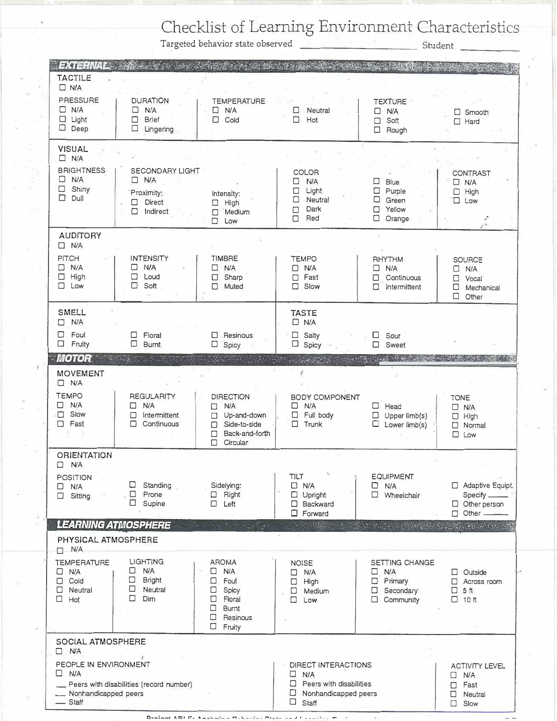Checklist of Learning Environment Characteristics

Targeted behavior state observed

| <b>EXTERNAL</b>                         |                                         |                                         |                                              |                                      |                                        |
|-----------------------------------------|-----------------------------------------|-----------------------------------------|----------------------------------------------|--------------------------------------|----------------------------------------|
| <b>TACTILE</b><br>$\Box$ N/A            |                                         |                                         |                                              |                                      |                                        |
| PRESSURE                                | <b>DURATION</b>                         | <b>TEMPERATURE</b>                      |                                              | <b>TEXTURE</b>                       |                                        |
| $\Box$ N/A<br>$\Box$ Light              | N/A<br>$\Box$<br><b>Brief</b><br>П      | $\Box$<br>N/A<br>П<br>Cold              | Neutral<br>□<br>Hot<br>□                     | <b>N/A</b><br>П.<br>Soft<br>□        | $\square$ Smooth<br>$\Box$ Hard        |
| $\Box$ Deep                             | $\Box$<br>Lingering                     |                                         |                                              | Rough<br>□                           |                                        |
| <b>VISUAL</b><br>$\Box$ N/A             |                                         |                                         |                                              |                                      |                                        |
| <b>BRIGHTNESS</b>                       | <b>SECONDARY LIGHT</b>                  |                                         | COLOR                                        |                                      | <b>CONTRAST</b>                        |
| N/A<br>□<br>$\Box$<br>Shiny             | $\Box$ N/A<br>Proximity:                | Intensity:                              | □<br><b>N/A</b><br>Light<br>□                | Blue<br>⊔<br>Purple<br>□             | $\Box$ N/A<br>High<br>$\Box$           |
| Dull<br>□                               | <b>Direct</b><br>□                      | High<br>$\Box$                          | Neutral<br>□<br>Dark                         | □<br>Green<br>Yellow                 | $\Box$ Low                             |
|                                         | □<br>Indirect                           | Medium<br>П<br>п<br>Low                 | П<br>Red<br>□                                | □<br>Orange<br>□                     |                                        |
| <b>AUDITORY</b><br>$\Box$ N/A           |                                         |                                         |                                              |                                      |                                        |
| <b>PIT.CH</b>                           | <b>INTENSITY</b>                        | <b>TIMBRE</b>                           | <b>TEMPO</b>                                 | RHYTHM                               | <b>SOURCE</b>                          |
| N/A<br>□<br>High<br>□                   | <b>N/A</b><br>П<br>Loud<br>□            | N/A<br>$\Box$<br>Sharp<br>□             | $\Box$ N/A<br>Fast<br>П                      | $\Box$ N/A<br>Continuous<br>п        | N/A<br>□<br>Vocal<br>□                 |
| $\Box$ Low                              | ⊓<br>Soft<br>28                         | Muted<br>П                              | Slow<br>$\Box$                               | Intermittent<br>□                    | □<br>Mechanical<br>$\Box$<br>Other     |
| <b>SMELL</b>                            |                                         |                                         | <b>TASTE</b>                                 |                                      |                                        |
| <b>N/A</b><br>П<br>Foul<br>□            |                                         |                                         | $\Box$ N/A                                   |                                      |                                        |
| □<br>Fruity                             | Floral<br>□<br>□<br>Burnt               | $\square$ . Resinous<br>$\Box$<br>Spicy | $\square$ Salty<br>$\Box$ Spicy              | □<br>Sour<br>□<br>Sweet              |                                        |
| <b>MOTOR</b>                            |                                         |                                         |                                              | ುವಿನ ಮತ್ತು ಕ                         |                                        |
| <b>MOVEMENT</b><br>$\Box$ N/A           |                                         |                                         |                                              |                                      |                                        |
| <b>TEMPO</b>                            | <b>REGULARITY</b>                       | <b>DIRECTION</b>                        | <b>BODY COMPONENT</b>                        |                                      | <b>TONE</b>                            |
|                                         |                                         |                                         |                                              |                                      |                                        |
| $\Box$ N/A<br>Slow<br>□                 | N/A<br>□<br>Intermittent<br>□           | N/A<br>П<br>Up-and-down<br>□            | $\Box$ N/A<br>Full body<br>$\Box$            | $\Box$<br>Head<br>Upper limb(s)<br>□ | $\Box$ N/A<br>$\Box$ High              |
| $\Box$ Fast                             | Continuous<br>□                         | Side-to-side<br>0                       | □<br>Trunk                                   | Lower limb(s)<br>□                   | Normal<br>□                            |
|                                         |                                         | Back-and-forth<br>□<br>Circular<br>п    |                                              |                                      | $\Box$ Low                             |
| <b>ORIENTATION</b>                      |                                         |                                         |                                              |                                      |                                        |
| $\Box$<br><b>N/A</b><br><b>POSITION</b> |                                         |                                         | <b>TILT</b>                                  | <b>EQUIPMENT</b>                     |                                        |
| □<br>N/A                                | <b>Standing</b><br>u<br>□<br>Prone      | Sidelying:                              | $\Box$ N/A                                   | N/A<br>□<br>□                        | Adaptive Equipt.                       |
| Sitting<br>$\Box$                       | □<br>Supine                             | $\Box$ Right<br>□<br>Left               | $\Box$ Upright<br>$\Box$ Backward            | Wheelchair                           | Specify ___<br>$\Box$ Other person     |
|                                         | <b>LEARNING ATMOSPHERE</b>              | the state of the state of the con-      | $\Box$ Forward                               |                                      | Other -<br>$\Box$                      |
| PHYSICAL ATMOSPHERE<br>N/A<br>п         |                                         |                                         |                                              |                                      |                                        |
| <b>TEMPERATURE</b>                      | LIGHTING                                | <b>AROMA</b>                            | <b>NOISE</b>                                 | SETTING CHANGE                       |                                        |
| 0<br>N/A                                | N/A<br>⊔<br>□                           | $\Box$<br>N/A                           | N/A<br>□                                     | N/A<br>□                             | <b>D</b> Outside                       |
| Cold<br>п<br>Neutral<br>□               | Bright<br>□<br>Neutral                  | Foul<br>□<br>Spicy<br>□                 | High<br>□<br>□<br>Medium                     | Primary<br>□<br>Secondary<br>□       | Across room<br>$5$ ft                  |
| □<br>Hot                                | □<br>Dim                                | Floral<br>□<br>$\Box$<br><b>Burnt</b>   | Low<br>□                                     | $\Box$ Community                     | $\Box$ 10 ft                           |
|                                         |                                         | □<br>Resinous<br>□                      |                                              |                                      | 19                                     |
| SOCIAL ATMOSPHERE                       |                                         | Fruity                                  |                                              |                                      |                                        |
| $\Box$ N/A                              |                                         |                                         |                                              |                                      |                                        |
| PEOPLE IN ENVIRONMENT<br>$\Box$ N/A     |                                         |                                         | DIRECT INTERACTIONS<br>$\Box$<br>N/A         |                                      | <b>ACTIVITY LEVEL</b><br>N/A<br>$\Box$ |
|                                         | Peers with disabilities (record number) |                                         | Peers with disabilities<br>□                 |                                      | Fast<br>П                              |
| __ Nonhandicapped peers<br>$-$ Staff    |                                         |                                         | □<br>Nonhandicapped peers<br>$\Box$<br>Staff |                                      | Neutral<br>□<br>Slow<br>П              |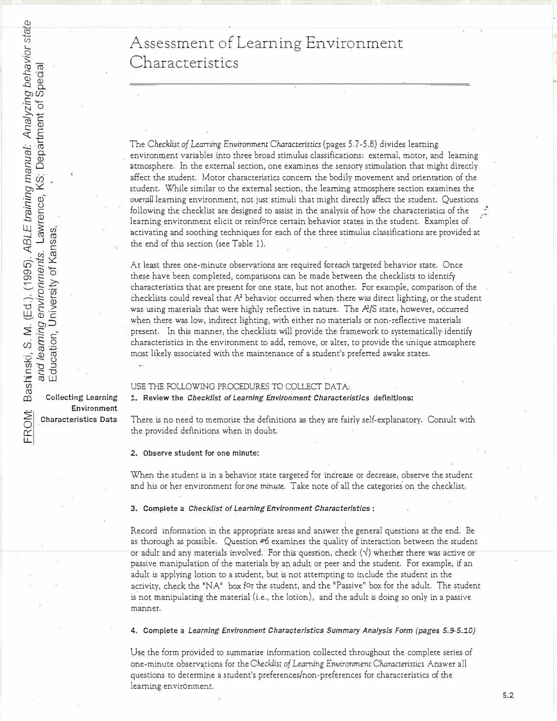## Assessment of Learning Environment Characteristics

The Checklist of Learning Environment Characteristics (pages 5.7-5.8) divides learning environment variables into three broad stimulus classifications: external, motor, and learning atmosphere. In the external section, one examines the sensory stimulation that might directly affect the student. Motor characteristics concern the bodily movement and orientation of the student. While similar to the external section, the learning atmosphere section examines the *overall* learning environment, not just stimuli that might directly affect the student. Questions following the checklist are designed to assist in the analysis of how the characteristics of the learning environment elicit or reinforce certain behavior states in the student. Examples of activating and soothing techniques for each of the three stimulus classifications are provided at the end of this section (see Table 1).

At least three one-minute observations are required *foreach* targeted behavior state. Once these have been completed, comparisons can be made between the checklists to identify characteristics that are present for one state, but not another. For example, comparison of the checklists could reveal that  $A<sup>2</sup>$  behavior occurred when there was direct lighting, or the student was using materials that were highly reflective in nature. The *RIS* state, however, occurred when there was low, indirect lighting, with either no materials or non-reflective materials present. In this manner, the checklists will provide the framework to systematically identify characteristics in the environment to add, remove, or alter, to provide the unique atmosphere most likely associated with the maintenance of a student's preferred awake states .

#### USE THE FOLLOWING PROCEDURES TO COLLECT DATA:

*1..* **Review the** *Checklist of Learning Environment Characteristics* **definitions:**

There is no need to memorize the definitions as they are fairly self-explanatory. Consult with the provided definitions when in doubt.

#### 2. Observe student for one minute:

When the student is in a behavior state targeted for increase or decrease, observe the student and his or her environment for one *minute.* Take note of all the categories on the checklist.

#### **3. Complete a** *Checklist of Learning Environment Characteristics* :

Record information in the appropriate areas and answer the general questions at the end. Be as thorough as possible. Question #6 examines the quality of interaction between the student or adult and any materials involved. For this question, check(✓) whether there was active or passive manipulation of the materials by an adult or peer and the student. For example, if an adult is applying lotion to a student, but is not attempting to include the student in the activity, check the "NA" box for the student, and the "Passive" box for the adult. The student is not manipulating the material (i.e., the lotion), and the adult is doing so only in a passive manner.

**4. Complete a** *Learning Environment Characteristics Summary Analysis Form (pages 5.9-5.10)* 

Use the form provided to summarize information collected throughout the complete series of one-minute observations for the Checklist of Learning Environment Characteristics Answer all questions to determine a student's preferences/non-preferences for characteristics of the learning environment.

Collecting Learning **Environment � Characteristics Data** 

ER<br>L

ior sta ·s; ia<br>Gia g be<br>Spe .<br>S 4-<br>S 4*ual: Analyzi*<br>epartment o ar<br>Ca E  $\ddot{\omega}$ aining<br>nce, K ren<br>Ten BLE I<br>Lawr<br>Isas. (1995). *A*<br>*nments.<br>ity of Kan* (Ed.).<br>*envire*<br>Inivers . M.<br>*Thing*<br>D<sub>n</sub>, U Education, University of Kansas. .hinski, S<br>*and lea.*<br>Educati (/) **co** 

r I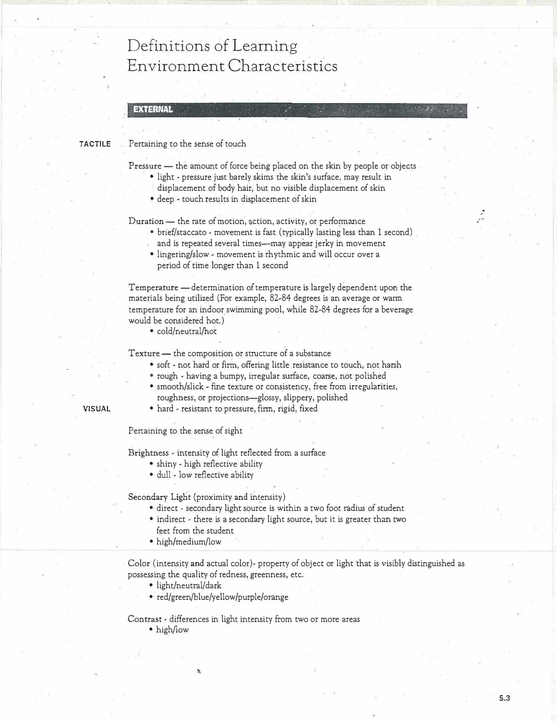# Definitions of Learning Environment Characteristics

#### **EXTERNAL**

#### **TACTILE**  Pertaining to the sense of touch

Pressure - the amount of force being placed on the skin by people or objects

 $\mathbb{R}^n$  . Find the set of  $\mathbb{R}^n$  . In the set of  $\mathbb{R}^n$ 

03366 ' ..

\_.

- light pressure just barely skims the skin's surface, may result in
	- displacement of body hair, but no visible displacement of skin
	- deep touch results in displacement of skin

Duration - the rate of motion, action, activity, or performance

- brief/staccato movement is fast (typically lasting less than 1 second) and is repeated several times-may appear jerky in movement
- lingering/slow movement is rhythmic and will occur over a period of time longer than 1 second

Temperature - determination of temperature is largely dependent upon the materials being utilized (For example, 82-84 degrees is an average or warm temperature for an indoor swimming pool, while 82-84 degrees for a beverage would be considered hot.)

• cold/neutral/hot

Texture - the composition or structure of a substance

- soft not hard or firm, offering little resistance to touch, not harsh
- rough having a bumpy, irregular surface, coarse, not polished
- smooth/slick fine texture or consistency, free from irregularities, roughness, or projections-glossy, slippery, polished
- hard resistant to pressure, firm, rigid, fixed

Pertaining to the sense of sight

**VISUAL** 

Brightness - intensity of light reflected from a surface

- shiny high reflective ability
- dull low reflective ability

Secondary Light (proximity and intensity)

- direct secondary light source is within a two foot radius of student
- indirect there is a secondary light source, but it is greater than two feet from the student
- high/medium/low

Color (intensity and actual color)- property of object or light that is visibly distinguished as possessing the quality of redness, greenness; etc.

- light/neutral/dark
- red/green/blue/yellow/purple/orange

Contrast - differences in light intensity from two or more areas • high/low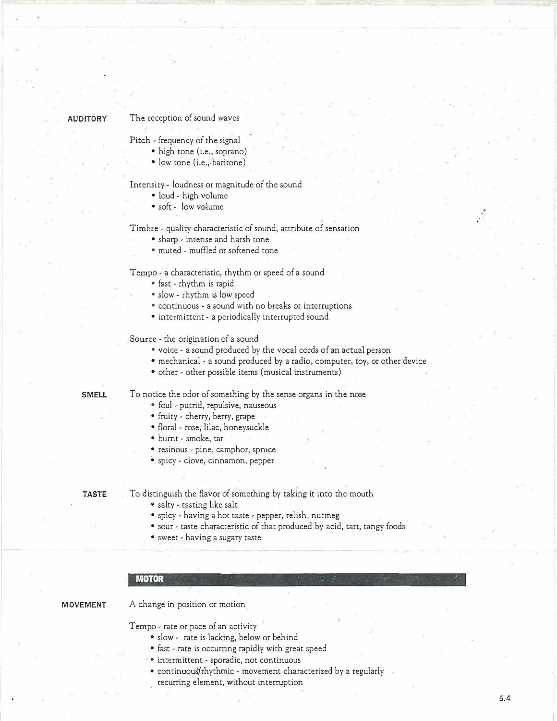#### **AUDITORY**

#### The reception of sound waves

Pitch - frequency of the signal

- high tone (i.e., soprano)
- low tone (i.e., baritone)

Intensity - loudness or magnitude of the sound

- loud high volume
- soft low volume

Timbre - quality characteristic of sound, attribute of sensation

- sharp intense and harsh cone
- muted muffled or softened tone

Tempo - a characteristic, rhythm or speed of a sound

- fast rhythm is rapid  $\cdot$
- slow rhythm is low speed
- continuous a sound with no breaks or interruptions
- intermittent a periodically interrupted sound

Source - the origination of a sound

- voice a sound produced by the vocal cords of an actual person
- mechanical a sound produced by a radio, computer, toy, or other device
- other other possible items (musical instruments)

**SMELL** 

#### To notice the odor of something by the sense organs in the nose

- foul putrid, repulsive, nauseous
- fruity cherry, berry, grape
- floral rose, lilac, honeysuckle
- burnt smoke, tar
- resinous <sup>p</sup>ine, camphor, spruce
- spicy clove, cinnamon, pepper

**TASTE** 

To distinguish the flavor of something by taking it into the mouth

- salty tasting like salt
- spicy having a hot taste pepper, relish, nutmeg
- sour taste characteristic of that produced by acid, tart, tangy foods
- sweet having a sugary taste

#### **MOTOR**

#### **MOVEMENT**

A change in position or motion\_

Tempo - rate or pace of an activity

- slow rate is lacking, below or behind
- fast rate is occurring rapidly with great speed
- intermittent sporadic, not continuous
- continuousfrhythmic movement characterized by a regularly recurring element, without interruption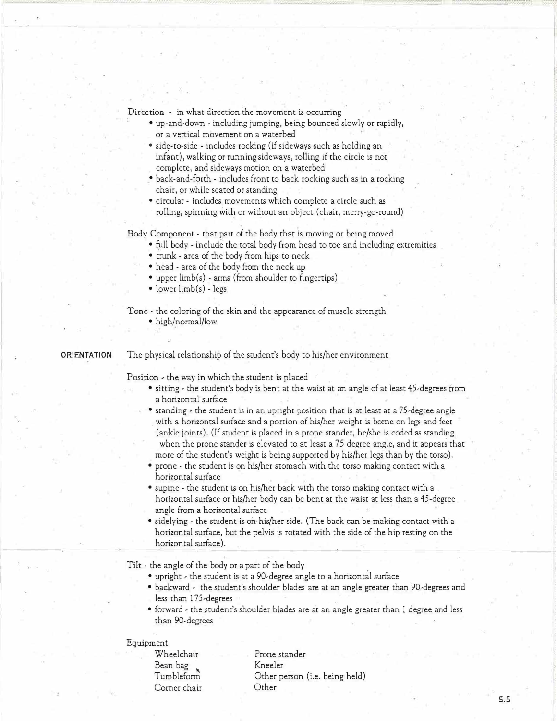Direction - in what direction the movement is occurring

- up-and-down including jumping, being bounced slowly or rapidly, or a vertical movement on a waterbed
- side-to-side includes rocking (if sideways such as holding an infant), walking or running sideways, rolling if the circle is not complete, and sideways motion on a waterbed
- back-and-forth includes front to back rocking such as in a rocking chair, or while seated or standing
- circular includes movements which complete a circle such as rolling, spinning with or without an object (chair, merry-go-round)

Body Component - that part of the body that is moving or being moved

- full body include the total body from head to toe and including extremities
- trunk area of the body from hips to neck
- head area of the body from the neck up
- upper limb(s) arms (from shoulder to fingertips)
- lower limb(s) legs

Tone - the coloring of the skin and the appearance of muscle strength

• high/normal/low

#### **ORIENTATION**  The physical relationship of the student's body to his/her environment

Position - the way in which the student is placed

- sitting the student's body is bent at the waist at an angle of at least 45-degrees from a horizontal· surface
- standing the student is in an upright position that is at least at a 75-degree angle . with a horizontal surface and a portion of his/her weight is borne on legs and feet (ankle joints). (If student is placed in a prone stander, he/she is coded as standing when the prone stander is elevated to at least a 75 degree angle, and it appears that more of the student's weight is being supported by his/her legs than by the torso).
- prone the student is on his/her stomach with the torso making contact with a horizontal surface
- supine the student is on his/her back with the torso making contact with a horizontal surface or his/her body can be bent at the waist at less than a 45-degree angle from a horizontal surface
- sidelying the student is on his/her side. (The back can be making contact with a horizontal surface, but the pelvis is rotated with the side of the hip resting on the horizontal surface).

Tilt • the angle of the body or a part of the body

- upright the student is at a 90-degree angle to a horizontal surface
- backward the student's shoulder blades are at an angle greater than '90-degrees and less than 175-degrees
- forward the student's shoulder blades are at an angle greater than 1 degree and less than 90-degrees

#### Equipment

Wheelchair Bean bag Tumbleform Comer chair Prone stander Kneeler Other person (i.e. being held) Other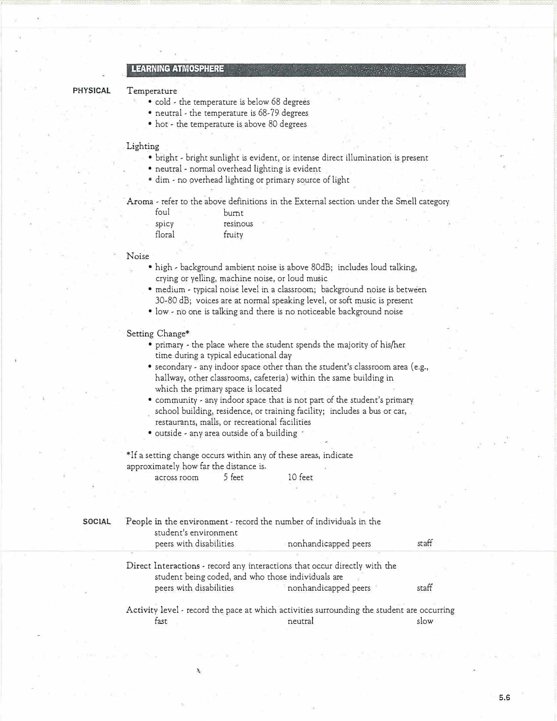### **LEARNING ATMOSPHERE**

#### **PHYSICAL**

#### **Temperature**

- cold the temperature is below 68 degrees
- neutral the temperature is 68-79 degrees
- hot the temperature is above 80 degrees

#### Lighting

- bright bright sunlight is evident, or intense direct illumination is present
- neutral normal overhead lighting is evident
- dim no overhead lighting or primary source of light

· **Aroma** - refer to the above definitions in the External section under the Smell category

| foul   | burnt    |  |
|--------|----------|--|
| spicy  | resinous |  |
| floral | fruity   |  |

#### Noise

- high background ambient noise is above 80dB; includes loud talking, crying or yelling, machine noise, or loud music
- medium typical noise level in a classroom; background noise is between 30-80 dB; voices are at normal speaking level, or soft music is present
- low no one is talking and there is no noticeable background noise

#### Setting Change\*

- primary the place where the student spends the majority of his/her time during a typical educational day
- secondary any indoor space other than the student's classroom area (e.g., hallway, ocher classrooms, cafeteria) within the same building in which the primary space is located
- community any indoor space that is not part of the student's primary school building, residence, or training facility; includes a bus or car,
- restaurants, malls, or recreational facilities
- outside any area outside of a building

\*If a setting change occurs within any of these areas, indicate approximately how far the distance is. across room 5 feet 10 feet

| <b>SOCIAL</b> | People in the environment - record the number of individuals in the<br>student's environment                                     |                      |       |  |  |  |
|---------------|----------------------------------------------------------------------------------------------------------------------------------|----------------------|-------|--|--|--|
|               | peers with disabilities                                                                                                          | nonhandicapped peers | staff |  |  |  |
|               |                                                                                                                                  |                      |       |  |  |  |
|               | Direct Interactions - record any interactions that occur directly with the<br>student being coded, and who those individuals are |                      |       |  |  |  |
|               | peers with disabilities                                                                                                          | nonhandicapped peers | staff |  |  |  |
|               | Activity level - record the pace at which activities surrounding the student are occurring                                       |                      |       |  |  |  |
|               | tast                                                                                                                             | neutral              | slow  |  |  |  |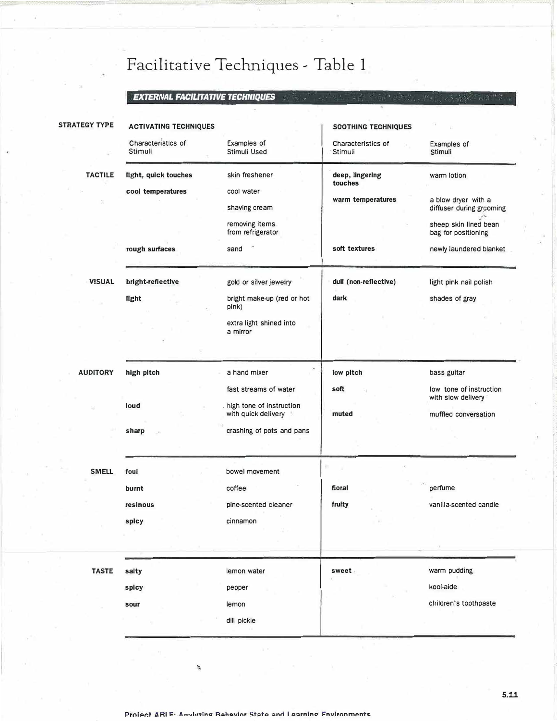# Facilitative Techniques - Table 1

## *EXTERNAL FACILITATIVE TECHNIQUES* .

| Characteristics of<br>Stimuli<br>light, quick touches<br>cool temperatures<br>rough surfaces<br>bright-reflective | Examples of<br>Stimuli Used<br>skin freshener<br>cool water<br>shaving cream<br>removing items<br>from refrigerator<br>sand | Characteristics of<br>Stimuli<br>deep, lingering<br>touches<br>warm temperatures<br>soft textures | Examples of<br>Stimuli<br>warm lotion<br>a blow dryer with a<br>diffuser during grooming<br>sheep skin lined bean<br>bag for positioning |
|-------------------------------------------------------------------------------------------------------------------|-----------------------------------------------------------------------------------------------------------------------------|---------------------------------------------------------------------------------------------------|------------------------------------------------------------------------------------------------------------------------------------------|
|                                                                                                                   |                                                                                                                             |                                                                                                   |                                                                                                                                          |
|                                                                                                                   |                                                                                                                             |                                                                                                   | newly laundered blanket                                                                                                                  |
|                                                                                                                   | gold or silver jewelry                                                                                                      | dull (non-reflective)                                                                             | light pink nail polish                                                                                                                   |
| light                                                                                                             | bright make-up (red or hot<br>pink)<br>extra light shined into<br>a mirror                                                  | dark                                                                                              | shades of gray                                                                                                                           |
| high pitch                                                                                                        | a hand mixer<br>fast streams of water                                                                                       | low pitch<br>soft                                                                                 | bass guitar<br>low tone of instruction<br>with slow delivery                                                                             |
| loud                                                                                                              | high tone of instruction<br>with quick delivery                                                                             | muted                                                                                             | muffled conversation                                                                                                                     |
| sharp                                                                                                             | crashing of pots and pans                                                                                                   |                                                                                                   |                                                                                                                                          |
| foul<br>burnt<br>resinous<br>spicy                                                                                | bowel movement<br>coffee<br>pine-scented cleaner<br>cinnamon                                                                | floral<br>fruity                                                                                  | perfume<br>vanilla-scented candle                                                                                                        |
| salty<br>spicy<br>sour                                                                                            | lemon water<br>pepper<br>lemon<br>dill pickle                                                                               | sweet                                                                                             | warm pudding<br>kool-aide<br>children's toothpaste                                                                                       |
|                                                                                                                   |                                                                                                                             |                                                                                                   |                                                                                                                                          |

.